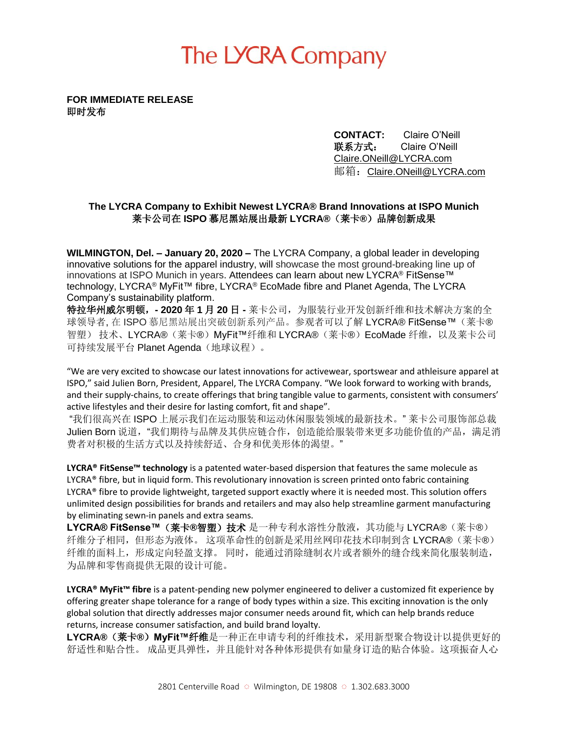## The LYCRA Company

**FOR IMMEDIATE RELEASE**  即时发布

> **CONTACT:** Claire O'Neill 联系方式: Claire O'Neill [Claire.ONeill@LYCRA.com](mailto:Claire.ONeill@LYCRA.com) 邮箱:[Claire.ONeill@LYCRA.com](mailto:Claire.ONeill@LYCRA.com)

### **The LYCRA Company to Exhibit Newest LYCRA® Brand Innovations at ISPO Munich** 莱卡公司在 **ISPO** 慕尼黑站展出最新 **LYCRA®**(莱卡**®**)品牌创新成果

**WILMINGTON, Del. – January 20, 2020 –** The LYCRA Company, a global leader in developing innovative solutions for the apparel industry, will showcase the most ground-breaking line up of innovations at ISPO Munich in years. Attendees can learn about new LYCRA® FitSense™ technology, LYCRA® MyFit™ fibre, LYCRA® EcoMade fibre and Planet Agenda, The LYCRA Company's sustainability platform.

特拉华州威尔明顿,**- 2020** 年 **1** 月 **20** 日 **-** 莱卡公司,为服装行业开发创新纤维和技术解决方案的全 球领导者, 在 ISPO 慕尼黑站展出突破创新系列产品。参观者可以了解 LYCRA® FitSense™ (莱卡® 智塑)技术、LYCRA®(莱卡®)MyFit™纤维和 LYCRA®(莱卡®)EcoMade 纤维,以及莱卡公司 可持续发展平台 Planet Agenda (地球议程)。

"We are very excited to showcase our latest innovations for activewear, sportswear and athleisure apparel at ISPO," said Julien Born, President, Apparel, The LYCRA Company. "We look forward to working with brands, and their supply-chains, to create offerings that bring tangible value to garments, consistent with consumers' active lifestyles and their desire for lasting comfort, fit and shape".

"我们很高兴在 ISPO 上展示我们在运动服装和运动休闲服装领域的最新技术。" 莱卡公司服饰部总裁 Julien Born 说道, "我们期待与品牌及其供应链合作, 创造能给服装带来更多功能价值的产品, 满足消 费者对积极的生活方式以及持续舒适、合身和优美形体的渴望。"

**LYCRA® FitSense™ technology** is a patented water-based dispersion that features the same molecule as LYCRA® fibre, but in liquid form. This revolutionary innovation is screen printed onto fabric containing LYCRA® fibre to provide lightweight, targeted support exactly where it is needed most. This solution offers unlimited design possibilities for brands and retailers and may also help streamline garment manufacturing by eliminating sewn-in panels and extra seams.

**LYCRA® FitSense™**(莱卡**®**智塑)技术 是一种专利水溶性分散液,其功能与 LYCRA®(莱卡®) 纤维分子相同,但形态为液体。 这项革命性的创新是采用丝网印花技术印制到含 LYCRA®(莱卡®) 纤维的面料上,形成定向轻盈支撑。 同时,能通过消除缝制衣片或者额外的缝合线来简化服装制造, 为品牌和零售商提供无限的设计可能。

**LYCRA® MyFit™ fibre** is a patent-pending new polymer engineered to deliver a customized fit experience by offering greater shape tolerance for a range of body types within a size. This exciting innovation is the only global solution that directly addresses major consumer needs around fit, which can help brands reduce returns, increase consumer satisfaction, and build brand loyalty.

**LYCRA®**(莱卡**®**)**MyFit™**纤维是一种正在申请专利的纤维技术,采用新型聚合物设计以提供更好的 舒适性和贴合性。 成品更具弹性,并且能针对各种体形提供有如量身订造的贴合体验。这项振奋人心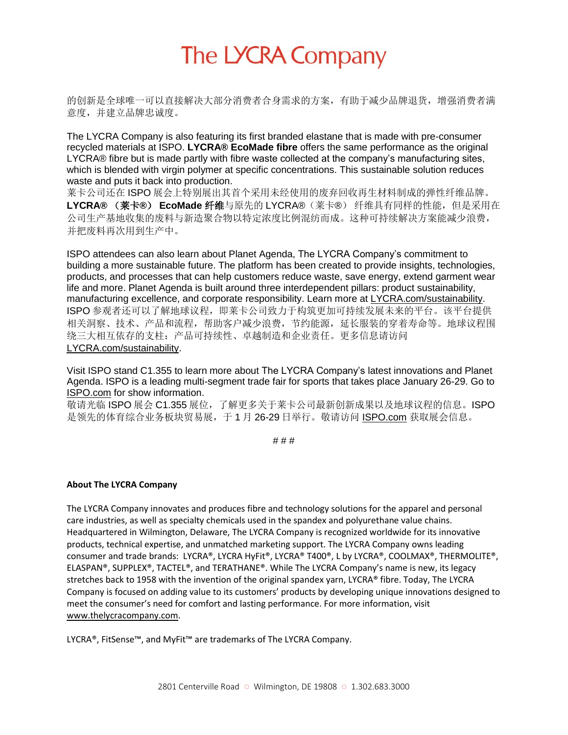# The LYCRA Company

的创新是全球唯一可以直接解决大部分消费者合身需求的方案,有助于减少品牌退货,增强消费者满 意度,并建立品牌忠诚度。

The LYCRA Company is also featuring its first branded elastane that is made with pre-consumer recycled materials at ISPO. **LYCRA® EcoMade fibre** offers the same performance as the original LYCRA® fibre but is made partly with fibre waste collected at the company's manufacturing sites, which is blended with virgin polymer at specific concentrations. This sustainable solution reduces waste and puts it back into production.

莱卡公司还在 ISPO 展会上特别展出其首个采用未经使用的废弃回收再生材料制成的弹性纤维品牌。 **LYCRA®** (莱卡**®**) **EcoMade** 纤维与原先的 LYCRA®(莱卡®) 纤维具有同样的性能,但是采用在 公司生产基地收集的废料与新造聚合物以特定浓度比例混纺而成。这种可持续解决方案能减少浪费, 并把废料再次用到生产中。

ISPO attendees can also learn about Planet Agenda, The LYCRA Company's commitment to building a more sustainable future. The platform has been created to provide insights, technologies, products, and processes that can help customers reduce waste, save energy, extend garment wear life and more. Planet Agenda is built around three interdependent pillars: product sustainability, manufacturing excellence, and corporate responsibility. Learn more at [LYCRA.com/sustainability.](https://connect.lycra.com/sustainability) ISPO 参观者还可以了解地球议程,即莱卡公司致力于构筑更加可持续发展未来的平台。该平台提供 相关洞察、技术、产品和流程,帮助客户减少浪费,节约能源,延长服装的穿着寿命等。地球议程围 绕三大相互依存的支柱:产品可持续性、卓越制造和企业责任。更多信息请访问 [LYCRA.com/sustainability.](https://connect.lycra.com/sustainability)

Visit ISPO stand C1.355 to learn more about The LYCRA Company's latest innovations and Planet Agenda. ISPO is a leading multi-segment trade fair for sports that takes place January 26-29. Go to [ISPO.com](https://www.ispo.com/en/munich) for show information.

敬请光临 ISPO 展会 C1.355 展位, 了解更多关于莱卡公司最新创新成果以及地球议程的信息。ISPO 是领先的体育综合业务板块贸易展,于 1 月 26-29 日举行。敬请访问 [ISPO.com](https://www.ispo.com/en/munich) 获取展会信息。

#### # # #

#### **About The LYCRA Company**

The LYCRA Company innovates and produces fibre and technology solutions for the apparel and personal care industries, as well as specialty chemicals used in the spandex and polyurethane value chains. Headquartered in Wilmington, Delaware, The LYCRA Company is recognized worldwide for its innovative products, technical expertise, and unmatched marketing support. The LYCRA Company owns leading consumer and trade brands: LYCRA®, LYCRA HyFit®, LYCRA® T400®, L by LYCRA®, COOLMAX®, THERMOLITE®, ELASPAN®, SUPPLEX®, TACTEL®, and TERATHANE®. While The LYCRA Company's name is new, its legacy stretches back to 1958 with the invention of the original spandex yarn, LYCRA® fibre. Today, The LYCRA Company is focused on adding value to its customers' products by developing unique innovations designed to meet the consumer's need for comfort and lasting performance. For more information, visit [www.thelycracompany.com.](http://www.thelycracompany.com/)

LYCRA®, FitSense™, and MyFit™ are trademarks of The LYCRA Company.